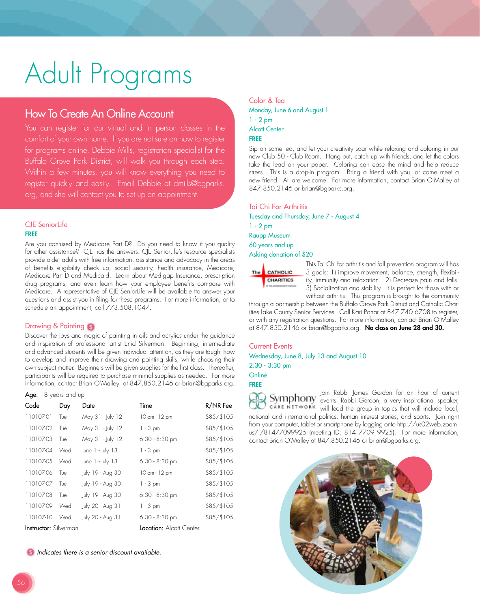# Adult Programs

# How To Create An Online Account

You can register for our virtual and in person classes in the comfort of your own home. If you are not sure on how to register for programs online, Debbie Mills, registration specialist for the Buffalo Grove Park District, will walk you through each step. Within a few minutes, you will know everything you need to register quickly and easily. Email Debbie at dmills@bgparks. org, and she will contact you to set up an appointment.

#### CJE SeniorLife FREE

Are you confused by Medicare Part D? Do you need to know if you qualify for other assistance? CJE has the answers. CJE SeniorLife's resource specialists provide older adults with free information, assistance and advocacy in the areas of benefits eligibility check up, social security, health insurance, Medicare, Medicare Part D and Medicaid. Learn about Medigap Insurance, prescription drug programs, and even learn how your employee benefits compare with Medicare. A representative of CJE SeniorLife will be available tto answer your questions and assist you in filing for these programs. For more information, or to schedule an appointment, call 773.508.1047.

# Drawing & Painting

Discover the joys and magic of painting in oils and acrylics under the guidance and inspiration of professional artist Enid Silverman. Beginning, intermediate and advanced students will be given individual attention, as they are taught how to develop and improve their drawing and painting skills, while choosing their own subject matter. Beginners will be given supplies for the first class. Thereafter, participants will be required to purchase minimal supplies as needed. For more information, contact Brian O'Malley at 847.850.2146 or brian@bgparks.org.

#### Age: 18 years and up

| Code                         | Day | Date               | Time                           | R/NR Fee   |
|------------------------------|-----|--------------------|--------------------------------|------------|
| 110107-01                    | Tue | May 31 - July 12   | 10 am - 12 pm                  | \$85/\$105 |
| 110107-02                    | Tue | May 31 - July 12   | $1 - 3$ pm                     | \$85/\$105 |
| 110107-03                    | Tue | May 31 - July 12   | $6:30 - 8:30$ pm               | \$85/\$105 |
| 110107-04                    | Wed | June $1 -$ July 13 | $1 - 3$ pm                     | \$85/\$105 |
| 110107-05                    | Wed | June 1 - July 13   | $6:30 - 8:30$ pm               | \$85/\$105 |
| 110107-06                    | Tue | July 19 - Aug 30   | 10 am - 12 pm                  | \$85/\$105 |
| 110107-07                    | Tue | July 19 - Aug 30   | $1 - 3$ pm                     | \$85/\$105 |
| 110107-08                    | Tue | July 19 - Aug 30   | $6:30 - 8:30$ pm               | \$85/\$105 |
| 110107-09                    | Wed | July 20 - Aug 31   | $1 - 3$ pm                     | \$85/\$105 |
| 110107-10                    | Wed | July 20 - Aug 31   | $6:30 - 8:30$ pm               | \$85/\$105 |
| <b>Instructor:</b> Silverman |     |                    | <b>Location:</b> Alcott Center |            |

**Indicates there is a senior discount available.** 

# Color & Tea Monday, June 6 and August 1 1 - 2 pm Alcott Center FREE

Sip on some tea, and let your creativity soar while relaxing and coloring in our new Club 50 - Club Room. Hang out, catch up with friends, and let the colors take the lead on your paper. Coloring can ease the mind and help reduce stress. This is a drop-in program. Bring a friend with you, or come meet a new friend. All are welcome. For more information, contact Brian O'Malley at 847.850.2146 or brian@bgparks.org.

# Tai Chi For Arthritis

Tuesday and Thursday, June 7 - August 4 1 - 2 pm Raupp Museum 60 years and up

Asking donation of \$20



This Tai Chi for arthritis and fall prevention program will has 3 goals: 1) improve movement, balance, strength, flexibility, immunity and relaxation. 2) Decrease pain and falls. 3) Socialization and stability. It is perfect for those with or without arthritis. This program is brought to the community

through a partnership between the Buffalo Grove Park District and Catholic Charities Lake County Senior Services. Call Kari Pohar at 847.740.6708 to register, or with any registration questions. For more information, contact Brian O'Malley at 847.850.2146 or brian@bgparks.org. No class on June 28 and 30.

# Current Events Wednesday, June 8, July 13 and August 10 2:30 - 3:30 pm

**Online** FREE

Join Rabbi James Gordon for an hour of current events. Rabbi Gordon, a very inspirational speaker, will lead the group in topics that will include local, national and international politics, human interest stories, and sports. Join right from your computer, tablet or smartphone by logging onto http://us02web.zoom. us/j/81477099925 (meeting ID: 814 7709 9925). For more information, contact Brian O'Malley at 847.850.2146 or brian@bgparks.org.

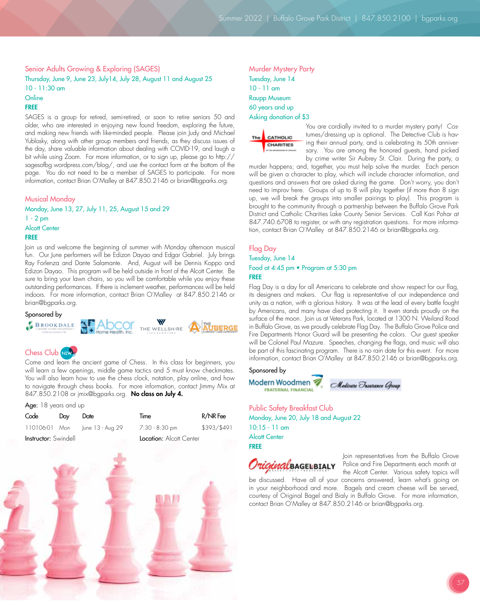Senior Adults Growing & Exploring (SAGES) Thursday, June 9, June 23, July14, July 28, August 11 and August 25 10 - 11:30 am

# **Online**

#### FREE

SAGES is a group for retired, semi-retired, or soon to retire seniors 50 and older, who are interested in enjoying new found freedom, exploring the future, and making new friends with like-minded people. Please join Judy and Michael Yublosky, along with other group members and friends, as they discuss issues of the day, share valuable information about dealing with COVID-19, and laugh a bit while using Zoom. For more information, or to sign up, please go to http:// sagesofbg.wordpress.com/blog/, and use the contact form at the bottom of the page. You do not need to be a member of SAGES to participate. For more information, contact Brian O'Malley at 847.850.2146 or brian@bgparks.org.

#### Musical Monday

Monday, June 13, 27, July 11, 25, August 15 and 29 1 - 2 pm Alcott Center FREE

Join us and welcome the beginning of summer with Monday afternoon musical fun. Our June performers will be Edizon Dayao and Edgar Gabriel. July brings Ray Forlenza and Dante Salamante. And, August will be Dennis Koppo and Edizon Dayao. This program will be held outside in front of the Alcott Center. Be sure to bring your lawn chairs, so you will be comfortable while you enjoy these outstanding performances. If there is inclement weather, performances will be held indoors. For more information, contact Brian O'Malley at 847.850.2146 or brian@bgparks.org.

## Sponsored by



# Chess Club NEW

Come and learn the ancient game of Chess. In this class for beginners, you will learn a few openings, middle game tactics and 5 must know checkmates. You will also learn how to use the chess clock, notation, play online, and how to navigate through chess books. For more information, contact Jimmy Mix at 847.850.2108 or jmix@bgparks.org. No class on July 4.

| Age: 18 years and up        |     |                  |                         |             |  |  |  |  |
|-----------------------------|-----|------------------|-------------------------|-------------|--|--|--|--|
| Code                        | Day | Date             | Time                    | R/NR Fee    |  |  |  |  |
| 110106-01 Mon               |     | June 13 - Aug 29 | 7:30 - 8:30 pm          | \$393/\$491 |  |  |  |  |
| <b>Instructor:</b> Swindell |     |                  | Location: Alcott Center |             |  |  |  |  |



Murder Mystery Party Tuesday, June 14 10 - 11 am Raupp Museum 60 years and up Asking donation of \$3



You are cordially invited to a murder mystery party! Costumes/dressing up is optional. The Detective Club is having their annual party, and is celebrating its 50th anniversary. You are among the honored guests, hand picked by crime writer Sir Aubrey St. Clair. During the party, a

murder happens; and, together, you must help solve the murder. Each person will be given a character to play, which will include character information, and questions and answers that are asked during the game. Don't worry, you don't need to improv here. Groups of up to 8 will play together (if more than 8 sign up, we will break the groups into smaller pairings to play). This program is brought to the community through a partnership between the Buffalo Grove Park District and Catholic Charities Lake County Senior Services. Call Kari Pohar at 847.740.6708 to register, or with any registration questions. For more information, contact Brian O'Malley at 847.850.2146 or brian@bgparks.org.

# Flag Day Tuesday, June 14 Food at 4:45 pm • Program at 5:30 pm FREE

Flag Day is a day for all Americans to celebrate and show respect for our flag, its designers and makers. Our flag is representative of our independence and unity as a nation, with a glorious history. It was at the lead of every battle fought by Americans, and many have died protecting it. It even stands proudly on the surface of the moon. Join us at Veterans Park, located at 1300 N. Weiland Road in Buffalo Grove, as we proudly celebrate Flag Day. The Buffalo Grove Police and Fire Departments Honor Guard will be presenting the colors. Our guest speaker will be Colonel Paul Mazure. Speeches, changing the flags, and music will also be part of this fascinating program. There is no rain date for this event. For more information, contact Brian O'Malley at 847.850.2146 or brian@bgparks.org.

#### Sponsored by

Modern Woodmen Medicare Insurance Group **FRATERNAL FINANCIAL** 

Public Safety Breakfast Club Monday, June 20, July 18 and August 22 10:15 - 11 am Alcott Center FREE



Join representatives from the Buffalo Grove Police and Fire Departments each month at

the Alcott Center. Various safety topics will be discussed. Have all of your concerns answered, learn what's going on in your neighborhood and more. Bagels and cream cheese will be served, courtesy of Original Bagel and Bialy in Buffalo Grove. For more information, contact Brian O'Malley at 847.850.2146 or brian@bgparks.org.